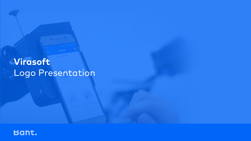#### Virasoft Logo Presentation



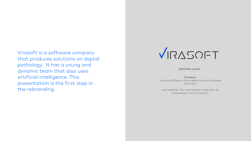**Problems** Tick mark different from letters in both thickness and color.

Low legibility. Too much space in the letter R. Unnecessary cuts in S and O.

#### **EXISTING LOGO**

Virasoft is a software company that produces solutions on digital pathology. It has a young and dynamic team that also uses artificial intelligence. This presentation is the first step in the rebranding.

#### $VIRASOFT$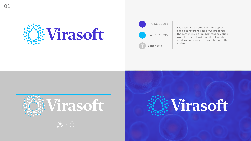

We designed an emblem made up of circles to reference cells. We prepared the center like a drop. Our font selection was the Editor Bold font that looks both modern and classic, compatible with the emblem.

### : Virasoft

01



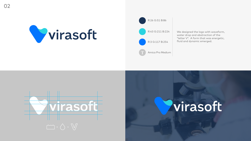

We designed the logo with waveform, water drop and abstraction of the "letter V". A form that was energetic, fluid and dynamic emerged.

#### virasoft



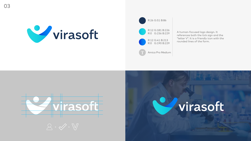

A human-focused logo design. It references both the tick sign and the "letter V". It is a friendly icon with the rounded lines of the form.

#### virasoft







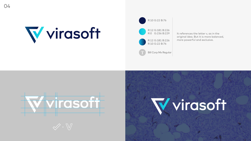

It references the letter v, as in the original idea. But it is more balanced, more powerful and exclusive.

# Vvirasoft







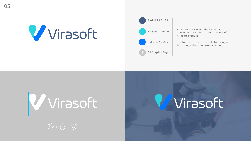An alternative where the letter V is dominant. Also a form about the use of Virasoft product.



The font we chose is suitable for being a technological and software company.

## Virasoft Z